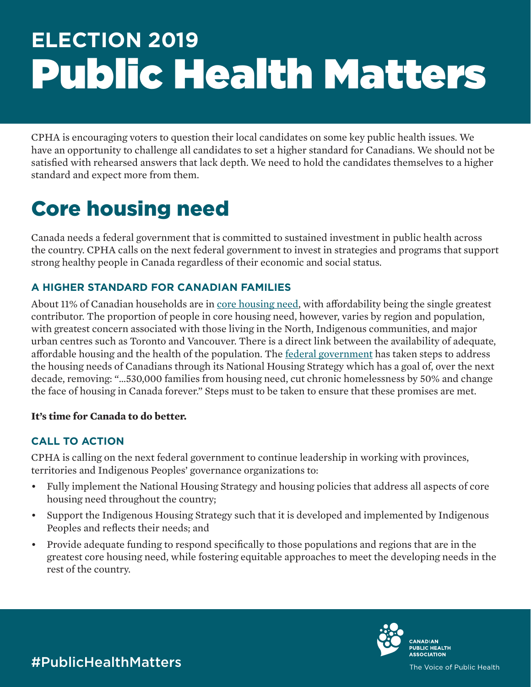# **ELECTION 2019** Public Health Matters

CPHA is encouraging voters to question their local candidates on some key public health issues. We have an opportunity to challenge all candidates to set a higher standard for Canadians. We should not be satisfied with rehearsed answers that lack depth. We need to hold the candidates themselves to a higher standard and expect more from them.

## Core housing need

Canada needs a federal government that is committed to sustained investment in public health across the country. CPHA calls on the next federal government to invest in strategies and programs that support strong healthy people in Canada regardless of their economic and social status.

#### **A HIGHER STANDARD FOR CANADIAN FAMILIES**

About 11% of Canadian households are in [core housing need](http://publications.gc.ca/site/eng/352929/publication.html), with affordability being the single greatest contributor. The proportion of people in core housing need, however, varies by region and population, with greatest concern associated with those living in the North, Indigenous communities, and major urban centres such as Toronto and Vancouver. There is a direct link between the availability of adequate, affordable housing and the health of the population. The [federal government](https://www.placetocallhome.ca/pdfs/Canada-National-Housing-Strategy.pdf) has taken steps to address the housing needs of Canadians through its National Housing Strategy which has a goal of, over the next decade, removing: "…530,000 families from housing need, cut chronic homelessness by 50% and change the face of housing in Canada forever." Steps must to be taken to ensure that these promises are met.

#### **It's time for Canada to do better.**

#### **CALL TO ACTION**

CPHA is calling on the next federal government to continue leadership in working with provinces, territories and Indigenous Peoples' governance organizations to:

- • Fully implement the National Housing Strategy and housing policies that address all aspects of core housing need throughout the country;
- Support the Indigenous Housing Strategy such that it is developed and implemented by Indigenous Peoples and reflects their needs; and
- Provide adequate funding to respond specifically to those populations and regions that are in the greatest core housing need, while fostering equitable approaches to meet the developing needs in the rest of the country.



#PublicHealthMatters

The Voice of Public Health